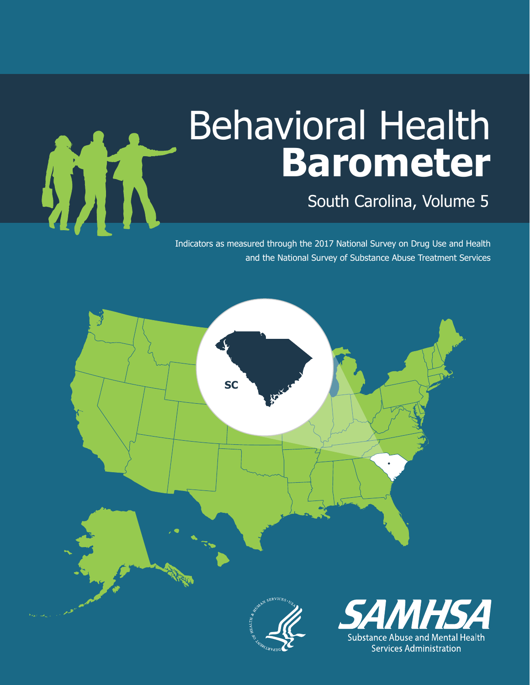# Behavioral Health **Barometer**

South Carolina, Volume 5

Indicators as measured through the 2017 National Survey on Drug Use and Health and the National Survey of Substance Abuse Treatment Services



MA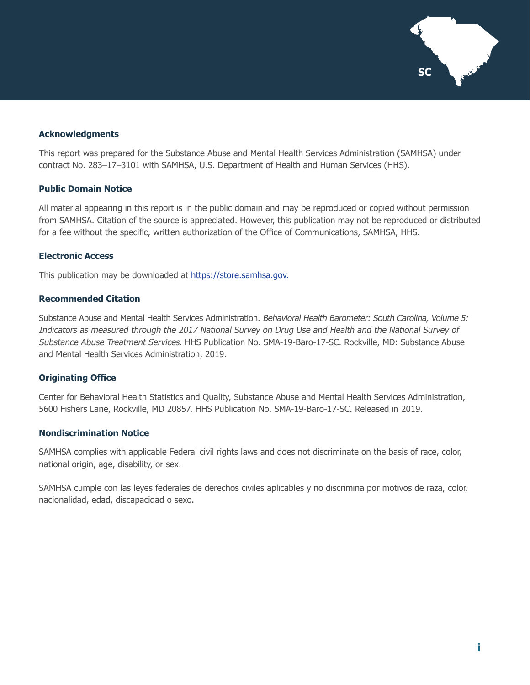

#### **Acknowledgments**

This report was prepared for the Substance Abuse and Mental Health Services Administration (SAMHSA) under contract No. 283–17–3101 with SAMHSA, U.S. Department of Health and Human Services (HHS).

#### **Public Domain Notice**

All material appearing in this report is in the public domain and may be reproduced or copied without permission from SAMHSA. Citation of the source is appreciated. However, this publication may not be reproduced or distributed for a fee without the specific, written authorization of the Office of Communications, SAMHSA, HHS.

#### **Electronic Access**

This publication may be downloaded at [https://store.samhsa.gov.](https://store.samhsa.gov)

#### **Recommended Citation**

Substance Abuse and Mental Health Services Administration. Behavioral Health Barometer: South Carolina, Volume 5: Indicators as measured through the 2017 National Survey on Drug Use and Health and the National Survey of Substance Abuse Treatment Services. HHS Publication No. SMA-19-Baro-17-SC. Rockville, MD: Substance Abuse and Mental Health Services Administration, 2019.

#### **Originating Office**

Center for Behavioral Health Statistics and Quality, Substance Abuse and Mental Health Services Administration, 5600 Fishers Lane, Rockville, MD 20857, HHS Publication No. SMA-19-Baro-17-SC. Released in 2019.

#### **Nondiscrimination Notice**

SAMHSA complies with applicable Federal civil rights laws and does not discriminate on the basis of race, color, national origin, age, disability, or sex.

SAMHSA cumple con las leyes federales de derechos civiles aplicables y no discrimina por motivos de raza, color, nacionalidad, edad, discapacidad o sexo.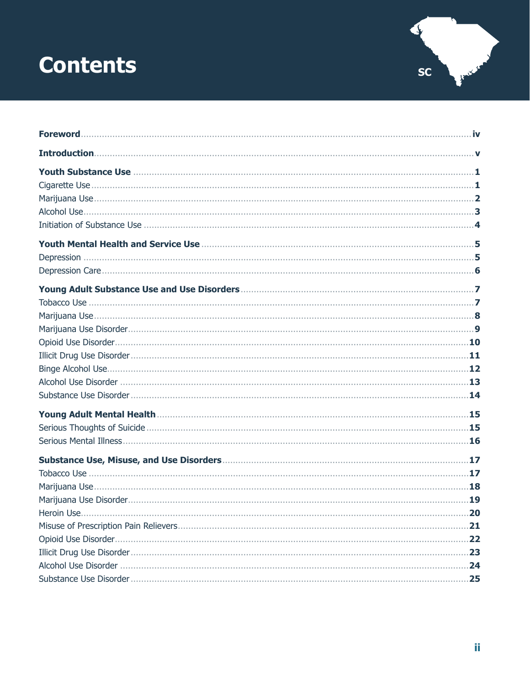# **Contents**



| 21<br>22<br>23<br>24 |
|----------------------|
|                      |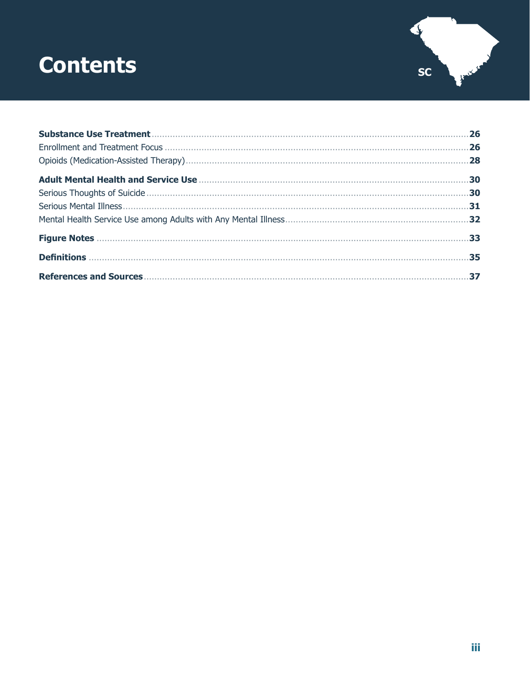### **Contents**



| 26  |
|-----|
| .28 |
|     |
| .30 |
| .31 |
|     |
|     |
|     |
| 37  |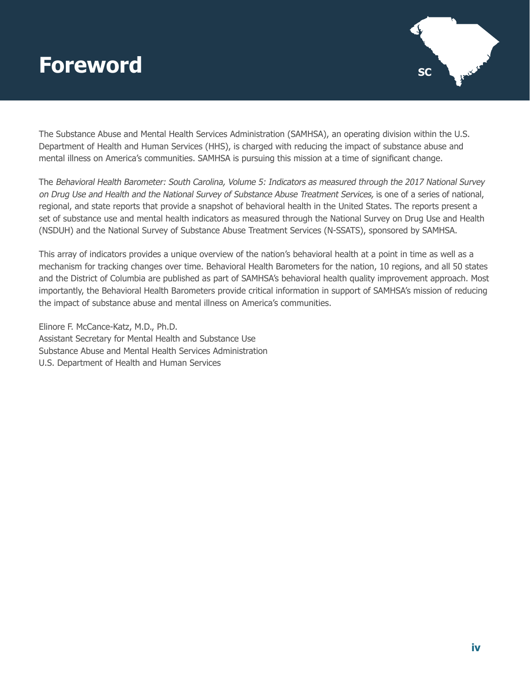### <span id="page-4-0"></span>**Foreword SC**



The Substance Abuse and Mental Health Services Administration (SAMHSA), an operating division within the U.S. Department of Health and Human Services (HHS), is charged with reducing the impact of substance abuse and mental illness on America's communities. SAMHSA is pursuing this mission at a time of significant change.

The Behavioral Health Barometer: South Carolina, Volume 5: Indicators as measured through the 2017 National Survey on Drug Use and Health and the National Survey of Substance Abuse Treatment Services, is one of a series of national, regional, and state reports that provide a snapshot of behavioral health in the United States. The reports present a set of substance use and mental health indicators as measured through the National Survey on Drug Use and Health (NSDUH) and the National Survey of Substance Abuse Treatment Services (N-SSATS), sponsored by SAMHSA.

This array of indicators provides a unique overview of the nation's behavioral health at a point in time as well as a mechanism for tracking changes over time. Behavioral Health Barometers for the nation, 10 regions, and all 50 states and the District of Columbia are published as part of SAMHSA's behavioral health quality improvement approach. Most importantly, the Behavioral Health Barometers provide critical information in support of SAMHSA's mission of reducing the impact of substance abuse and mental illness on America's communities.

Elinore F. McCance-Katz, M.D., Ph.D. Assistant Secretary for Mental Health and Substance Use Substance Abuse and Mental Health Services Administration U.S. Department of Health and Human Services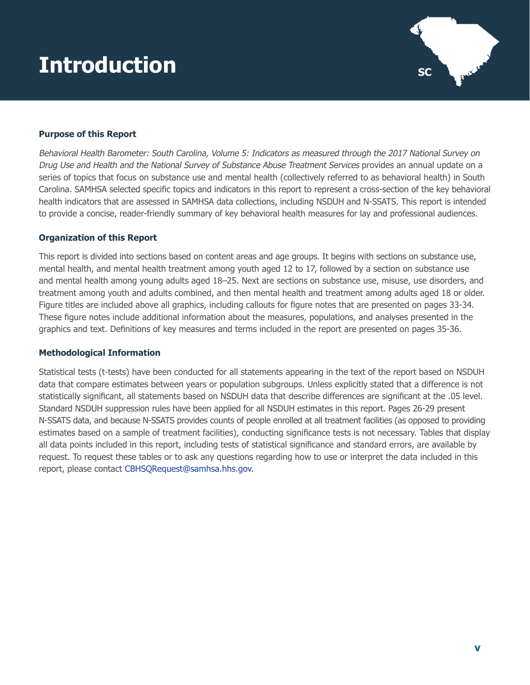# <span id="page-5-0"></span> $\blacksquare$ **Introduction**  $\blacksquare$



#### **Purpose of this Report**

Behavioral Health Barometer: South Carolina, Volume 5: Indicators as measured through the 2017 National Survey on Drug Use and Health and the National Survey of Substance Abuse Treatment Services provides an annual update on a series of topics that focus on substance use and mental health (collectively referred to as behavioral health) in South Carolina. SAMHSA selected specific topics and indicators in this report to represent a cross-section of the key behavioral health indicators that are assessed in SAMHSA data collections, including NSDUH and N-SSATS. This report is intended to provide a concise, reader-friendly summary of key behavioral health measures for lay and professional audiences.

#### **Organization of this Report**

This report is divided into sections based on content areas and age groups. It begins with sections on substance use, mental health, and mental health treatment among youth aged 12 to 17, followed by a section on substance use and mental health among young adults aged 18–25. Next are sections on substance use, misuse, use disorders, and treatment among youth and adults combined, and then mental health and treatment among adults aged 18 or older. Figure titles are included above all graphics, including callouts for figure notes that are presented on pages 33-34. These figure notes include additional information about the measures, populations, and analyses presented in the graphics and text. Definitions of key measures and terms included in the report are presented on pages 35-36.

#### **Methodological Information**

Statistical tests (t-tests) have been conducted for all statements appearing in the text of the report based on NSDUH data that compare estimates between years or population subgroups. Unless explicitly stated that a difference is not statistically significant, all statements based on NSDUH data that describe differences are significant at the .05 level. Standard NSDUH suppression rules have been applied for all NSDUH estimates in this report. Pages 26-29 present N-SSATS data, and because N-SSATS provides counts of people enrolled at all treatment facilities (as opposed to providing estimates based on a sample of treatment facilities), conducting significance tests is not necessary. Tables that display all data points included in this report, including tests of statistical significance and standard errors, are available by request. To request these tables or to ask any questions regarding how to use or interpret the data included in this report, please contact [CBHSQRequest@samhsa.hhs.gov](mailto:CBHSQRequest@samhsa.hhs.gov).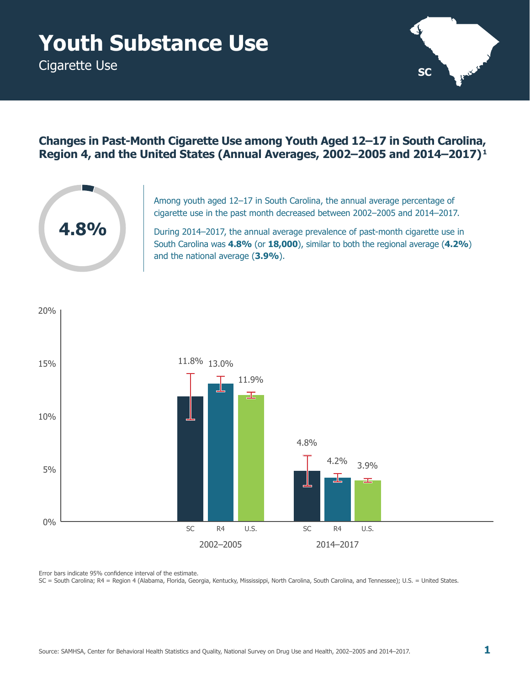# <span id="page-6-0"></span>**Youth Substance Use**

Cigarette Use



#### **Changes in Past-Month Cigarette Use among Youth Aged 12–17 in South Carolina, Region 4, and the United States (Annual Averages, 2002–2005 and 2014–2017) 1**



Among youth aged 12–17 in South Carolina, the annual average percentage of cigarette use in the past month decreased between 2002–2005 and 2014–2017.

During 2014–2017, the annual average prevalence of past-month cigarette use in South Carolina was **4.8%** (or **18,000**), similar to both the regional average (**4.2%**) and the national average (**3.9%**).

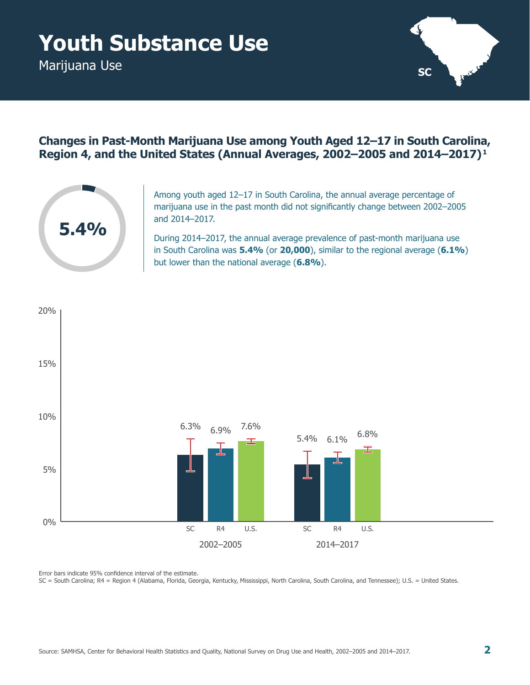# <span id="page-7-0"></span>**Youth Substance Use**

Marijuana Use



### **Changes in Past-Month Marijuana Use among Youth Aged 12–17 in South Carolina, Region 4, and the United States (Annual Averages, 2002–2005 and 2014–2017) 1**



Among youth aged 12–17 in South Carolina, the annual average percentage of marijuana use in the past month did not significantly change between 2002–2005 and 2014–2017.

During 2014–2017, the annual average prevalence of past-month marijuana use in South Carolina was **5.4%** (or **20,000**), similar to the regional average (**6.1%**) but lower than the national average (**6.8%**).



Error bars indicate 95% confidence interval of the estimate.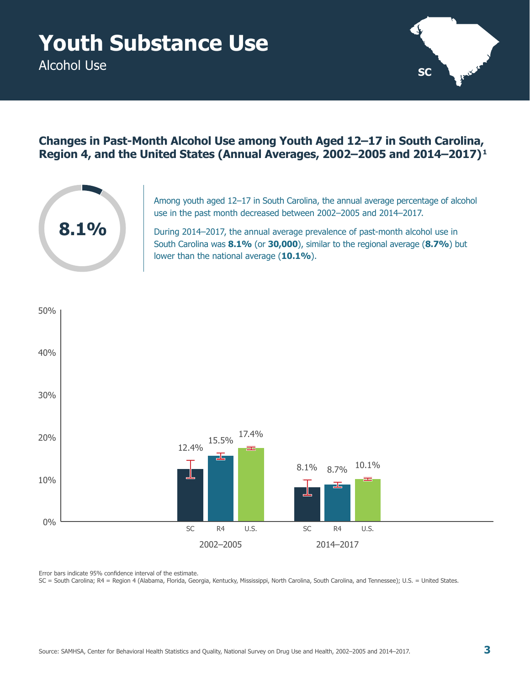<span id="page-8-0"></span>Alcohol Use



### **Changes in Past-Month Alcohol Use among Youth Aged 12–17 in South Carolina, Region 4, and the United States (Annual Averages, 2002–2005 and 2014–2017) 1**



Among youth aged 12–17 in South Carolina, the annual average percentage of alcohol use in the past month decreased between 2002–2005 and 2014–2017.

During 2014–2017, the annual average prevalence of past-month alcohol use in South Carolina was **8.1%** (or **30,000**), similar to the regional average (**8.7%**) but lower than the national average (**10.1%**).

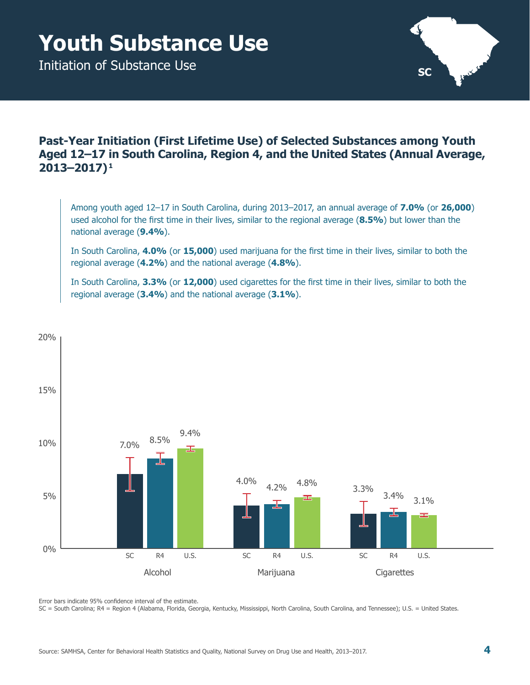# <span id="page-9-0"></span>**Youth Substance Use**

Initiation of Substance Use



### **Past-Year Initiation (First Lifetime Use) of Selected Substances among Youth Aged 12–17 in South Carolina, Region 4, and the United States (Annual Average, 2013–2017) 1**

Among youth aged 12–17 in South Carolina, during 2013–2017, an annual average of **7.0%** (or **26,000**) used alcohol for the first time in their lives, similar to the regional average (**8.5%**) but lower than the national average (**9.4%**).

In South Carolina, **4.0%** (or **15,000**) used marijuana for the first time in their lives, similar to both the regional average (**4.2%**) and the national average (**4.8%**).

In South Carolina, **3.3%** (or **12,000**) used cigarettes for the first time in their lives, similar to both the regional average (**3.4%**) and the national average (**3.1%**).



Error bars indicate 95% confidence interval of the estimate.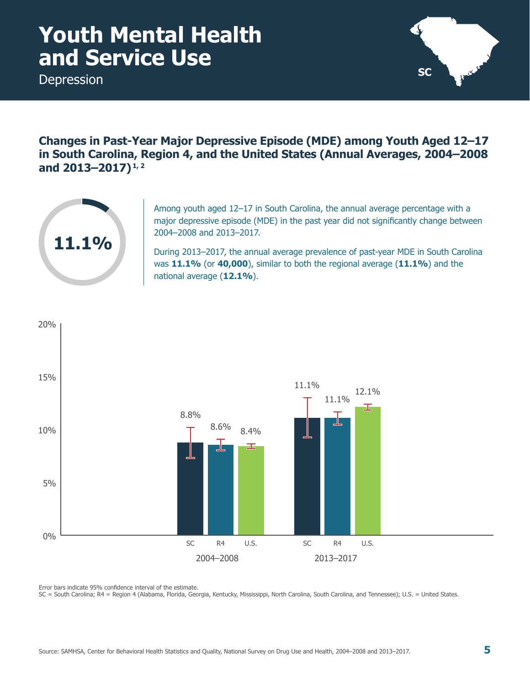### <span id="page-10-0"></span>**Youth Mental Health and Service Use**

Depression



**Changes in Past-Year Major Depressive Episode (MDE) among Youth Aged 12–17 in South Carolina, Region 4, and the United States (Annual Averages, 2004–2008 and 2013–2017) 1, 2**



Among youth aged 12–17 in South Carolina, the annual average percentage with a major depressive episode (MDE) in the past year did not significantly change between 2004–2008 and 2013–2017.

During 2013–2017, the annual average prevalence of past-year MDE in South Carolina was **11.1%** (or **40,000**), similar to both the regional average (**11.1%**) and the national average (**12.1%**).



Error bars indicate 95% confidence interval of the estimate.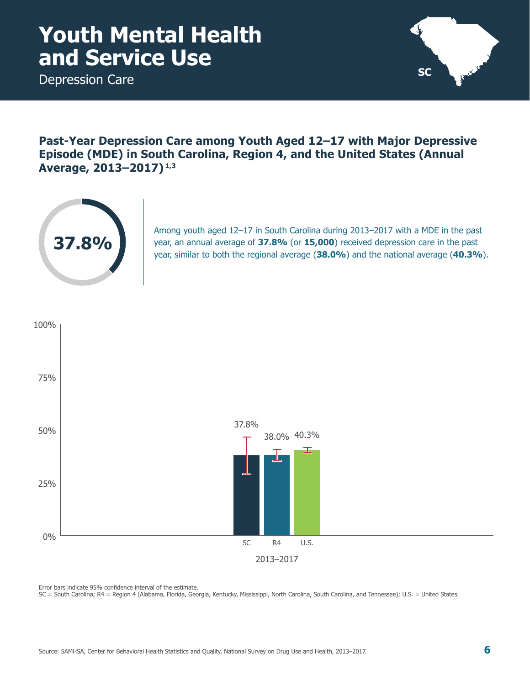### <span id="page-11-0"></span>**Youth Mental Health and Service Use**

Depression Care



**Past-Year Depression Care among Youth Aged 12–17 with Major Depressive Episode (MDE) in South Carolina, Region 4, and the United States (Annual Average, 2013–2017) 1,3**



Among youth aged 12–17 in South Carolina during 2013–2017 with a MDE in the past year, an annual average of **37.8%** (or **15,000**) received depression care in the past year, similar to both the regional average (**38.0%**) and the national average (**40.3%**).



Error bars indicate 95% confidence interval of the estimate.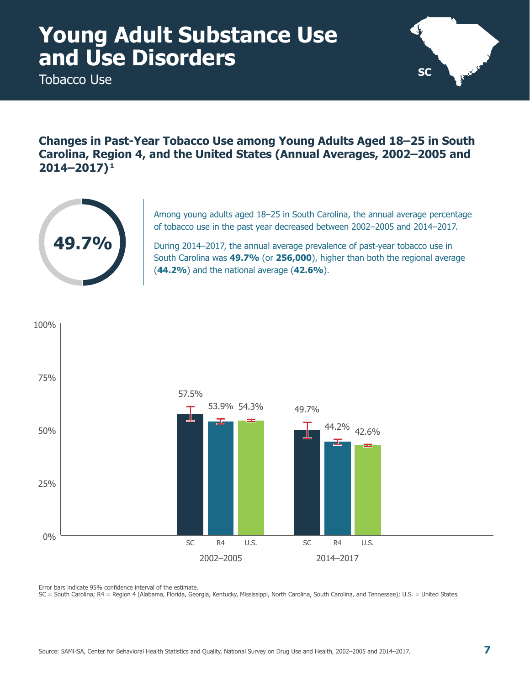<span id="page-12-0"></span>Tobacco Use



**Changes in Past-Year Tobacco Use among Young Adults Aged 18–25 in South Carolina, Region 4, and the United States (Annual Averages, 2002–2005 and 2014–2017) 1**



Among young adults aged 18–25 in South Carolina, the annual average percentage of tobacco use in the past year decreased between 2002–2005 and 2014–2017.

During 2014–2017, the annual average prevalence of past-year tobacco use in South Carolina was **49.7%** (or **256,000**), higher than both the regional average (**44.2%**) and the national average (**42.6%**).



Error bars indicate 95% confidence interval of the estimate.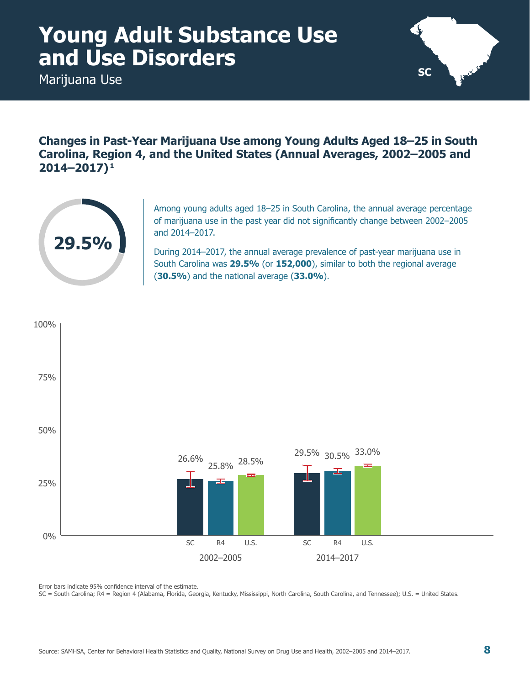<span id="page-13-0"></span>Marijuana Use



**Changes in Past-Year Marijuana Use among Young Adults Aged 18–25 in South Carolina, Region 4, and the United States (Annual Averages, 2002–2005 and 2014–2017) 1**



Among young adults aged 18–25 in South Carolina, the annual average percentage of marijuana use in the past year did not significantly change between 2002–2005 and 2014–2017.

During 2014–2017, the annual average prevalence of past-year marijuana use in South Carolina was **29.5%** (or **152,000**), similar to both the regional average (**30.5%**) and the national average (**33.0%**).



Error bars indicate 95% confidence interval of the estimate.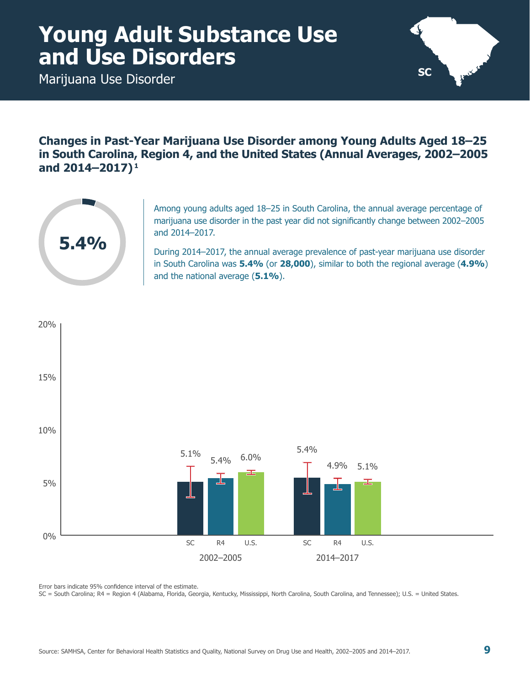<span id="page-14-0"></span>Marijuana Use Disorder



**Changes in Past-Year Marijuana Use Disorder among Young Adults Aged 18–25 in South Carolina, Region 4, and the United States (Annual Averages, 2002–2005 and 2014–2017) 1**



Among young adults aged 18–25 in South Carolina, the annual average percentage of marijuana use disorder in the past year did not significantly change between 2002–2005 and 2014–2017.

During 2014–2017, the annual average prevalence of past-year marijuana use disorder in South Carolina was **5.4%** (or **28,000**), similar to both the regional average (**4.9%**) and the national average (**5.1%**).



Error bars indicate 95% confidence interval of the estimate.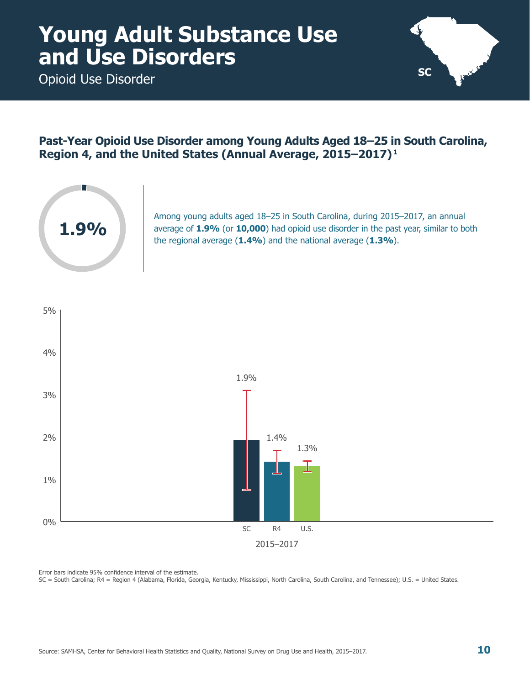<span id="page-15-0"></span>Opioid Use Disorder



#### **Past-Year Opioid Use Disorder among Young Adults Aged 18–25 in South Carolina, Region 4, and the United States (Annual Average, 2015–2017) 1**



Among young adults aged 18–25 in South Carolina, during 2015–2017, an annual average of **1.9%** (or **10,000**) had opioid use disorder in the past year, similar to both the regional average (**1.4%**) and the national average (**1.3%**).

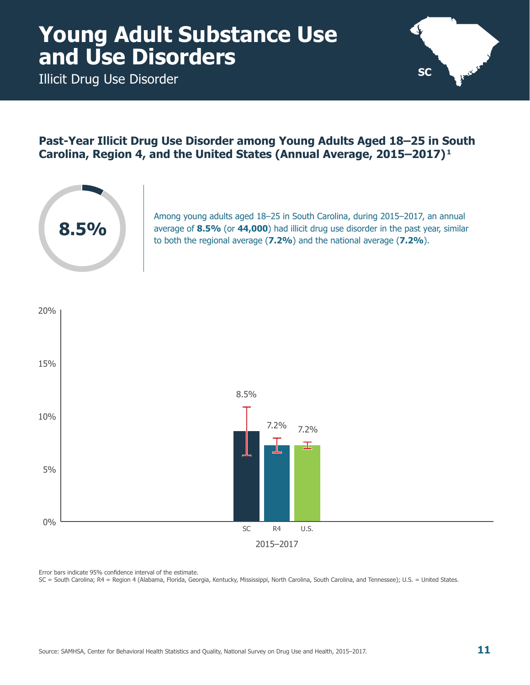<span id="page-16-0"></span>Illicit Drug Use Disorder



#### **Past-Year Illicit Drug Use Disorder among Young Adults Aged 18–25 in South Carolina, Region 4, and the United States (Annual Average, 2015–2017) 1**



Among young adults aged 18–25 in South Carolina, during 2015–2017, an annual average of **8.5%** (or **44,000**) had illicit drug use disorder in the past year, similar to both the regional average (**7.2%**) and the national average (**7.2%**).

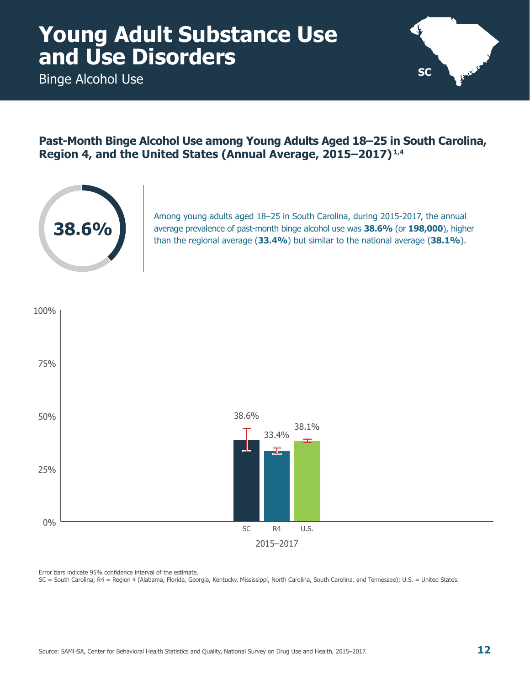<span id="page-17-0"></span>Binge Alcohol Use



#### **Past-Month Binge Alcohol Use among Young Adults Aged 18–25 in South Carolina, Region 4, and the United States (Annual Average, 2015–2017) 1,4**



Among young adults aged 18–25 in South Carolina, during 2015-2017, the annual average prevalence of past-month binge alcohol use was **38.6%** (or **198,000**), higher than the regional average (**33.4%**) but similar to the national average (**38.1%**).

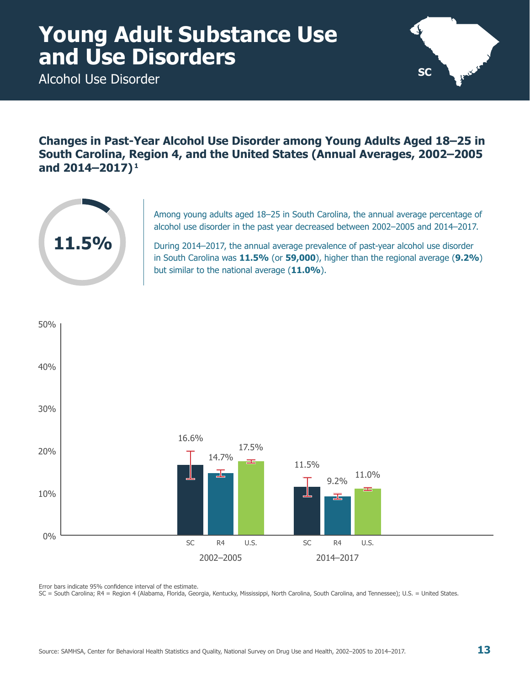<span id="page-18-0"></span>Alcohol Use Disorder



**Changes in Past-Year Alcohol Use Disorder among Young Adults Aged 18–25 in South Carolina, Region 4, and the United States (Annual Averages, 2002–2005 and 2014–2017) 1**



Among young adults aged 18–25 in South Carolina, the annual average percentage of alcohol use disorder in the past year decreased between 2002–2005 and 2014–2017.

During 2014–2017, the annual average prevalence of past-year alcohol use disorder in South Carolina was **11.5%** (or **59,000**), higher than the regional average (**9.2%**) but similar to the national average (**11.0%**).



Error bars indicate 95% confidence interval of the estimate.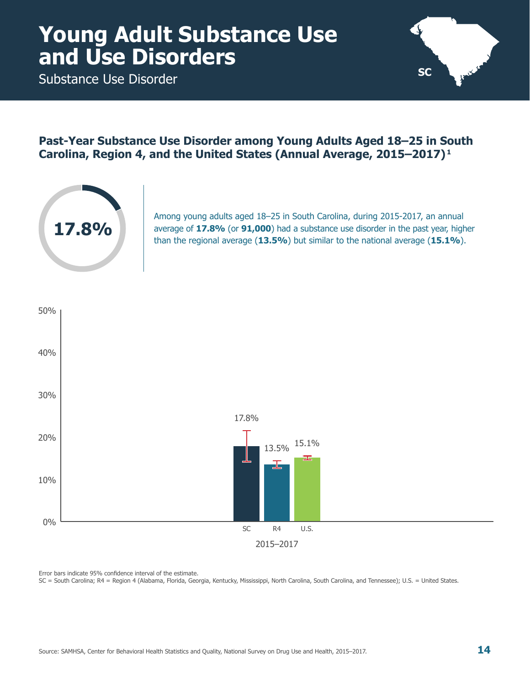<span id="page-19-0"></span>Substance Use Disorder



#### **Past-Year Substance Use Disorder among Young Adults Aged 18–25 in South Carolina, Region 4, and the United States (Annual Average, 2015–2017) 1**



Among young adults aged 18–25 in South Carolina, during 2015-2017, an annual average of **17.8%** (or **91,000**) had a substance use disorder in the past year, higher than the regional average (**13.5%**) but similar to the national average (**15.1%**).

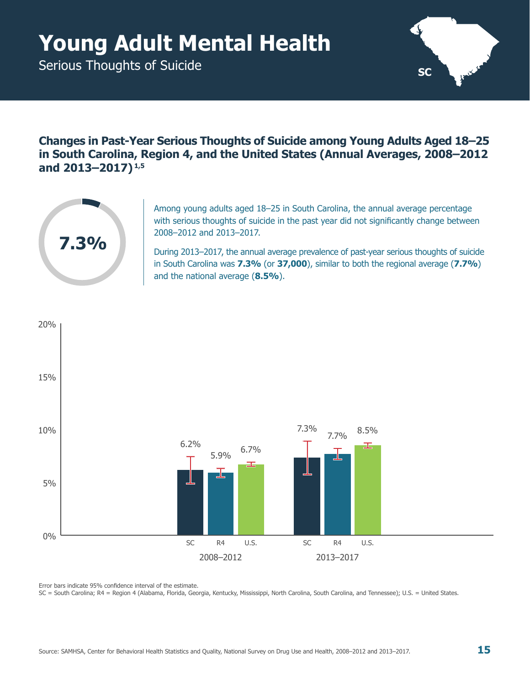# <span id="page-20-0"></span>**Young Adult Mental Health**

Serious Thoughts of Suicide



**Changes in Past-Year Serious Thoughts of Suicide among Young Adults Aged 18–25 in South Carolina, Region 4, and the United States (Annual Averages, 2008–2012 and 2013–2017) 1,5**



Among young adults aged 18–25 in South Carolina, the annual average percentage with serious thoughts of suicide in the past year did not significantly change between 2008–2012 and 2013–2017.

During 2013–2017, the annual average prevalence of past-year serious thoughts of suicide in South Carolina was **7.3%** (or **37,000**), similar to both the regional average (**7.7%**) and the national average (**8.5%**).



Error bars indicate 95% confidence interval of the estimate.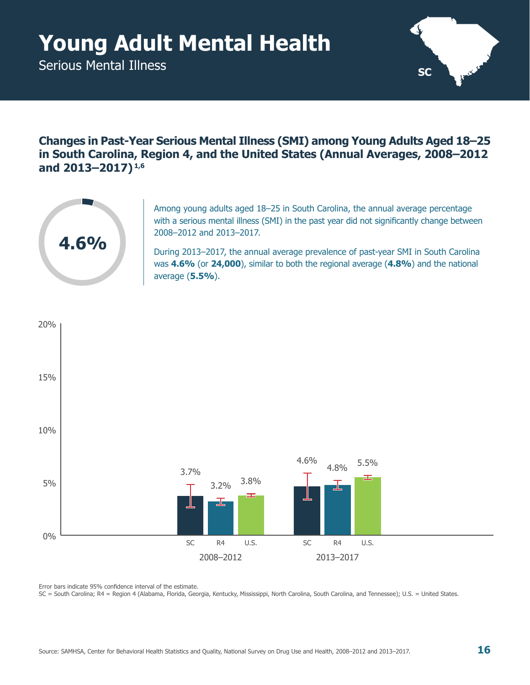# <span id="page-21-0"></span>**Young Adult Mental Health**

Serious Mental Illness



**Changes in Past-Year Serious Mental Illness (SMI) among Young Adults Aged 18–25 in South Carolina, Region 4, and the United States (Annual Averages, 2008–2012 and 2013–2017) 1,6**



Among young adults aged 18–25 in South Carolina, the annual average percentage with a serious mental illness (SMI) in the past year did not significantly change between 2008–2012 and 2013–2017.

During 2013–2017, the annual average prevalence of past-year SMI in South Carolina was **4.6%** (or **24,000**), similar to both the regional average (**4.8%**) and the national average (**5.5%**).



Error bars indicate 95% confidence interval of the estimate.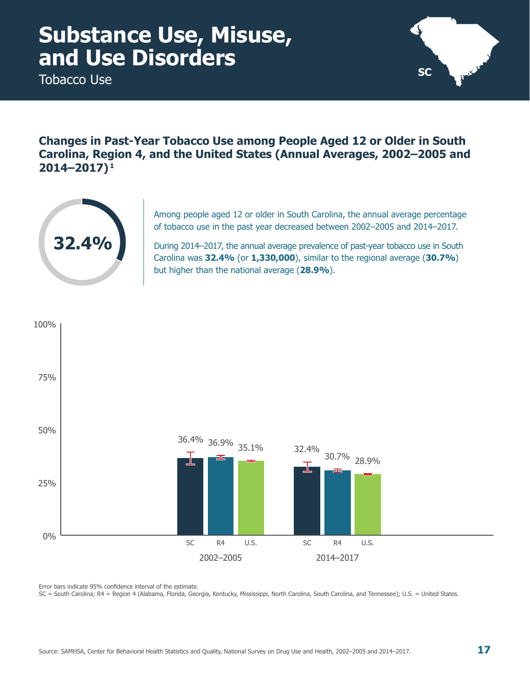<span id="page-22-0"></span>Tobacco Use



**Changes in Past-Year Tobacco Use among People Aged 12 or Older in South Carolina, Region 4, and the United States (Annual Averages, 2002–2005 and 2014–2017) 1**



Among people aged 12 or older in South Carolina, the annual average percentage of tobacco use in the past year decreased between 2002–2005 and 2014–2017.

During 2014–2017, the annual average prevalence of past-year tobacco use in South Carolina was **32.4%** (or **1,330,000**), similar to the regional average (**30.7%**) but higher than the national average (**28.9%**).



Error bars indicate 95% confidence interval of the estimate.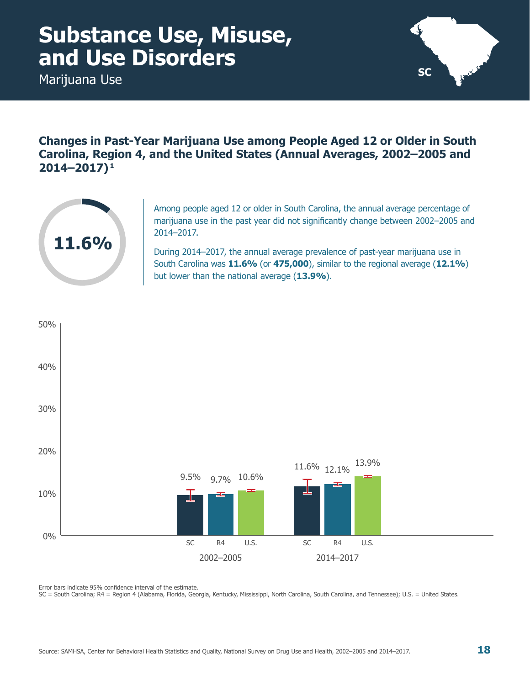<span id="page-23-0"></span>Marijuana Use



**Changes in Past-Year Marijuana Use among People Aged 12 or Older in South Carolina, Region 4, and the United States (Annual Averages, 2002–2005 and 2014–2017) 1**



Among people aged 12 or older in South Carolina, the annual average percentage of marijuana use in the past year did not significantly change between 2002–2005 and 2014–2017.

During 2014–2017, the annual average prevalence of past-year marijuana use in South Carolina was **11.6%** (or **475,000**), similar to the regional average (**12.1%**) but lower than the national average (**13.9%**).



Error bars indicate 95% confidence interval of the estimate.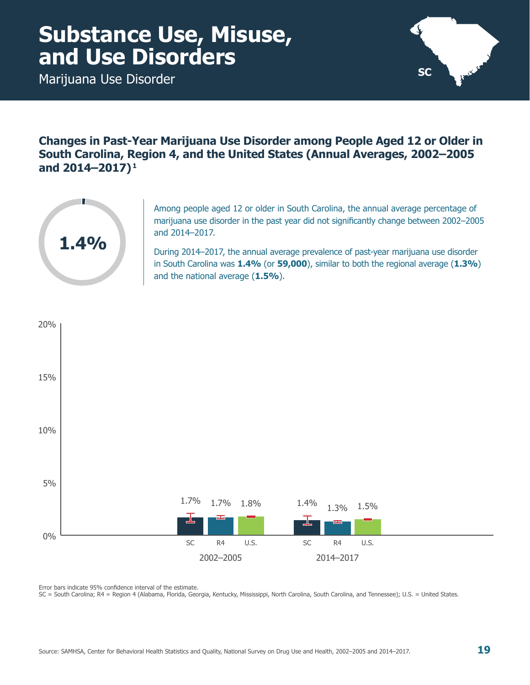<span id="page-24-0"></span>Marijuana Use Disorder



**Changes in Past-Year Marijuana Use Disorder among People Aged 12 or Older in South Carolina, Region 4, and the United States (Annual Averages, 2002–2005 and 2014–2017) 1**



Among people aged 12 or older in South Carolina, the annual average percentage of marijuana use disorder in the past year did not significantly change between 2002–2005 and 2014–2017.

During 2014–2017, the annual average prevalence of past-year marijuana use disorder in South Carolina was **1.4%** (or **59,000**), similar to both the regional average (**1.3%**) and the national average (**1.5%**).



Error bars indicate 95% confidence interval of the estimate.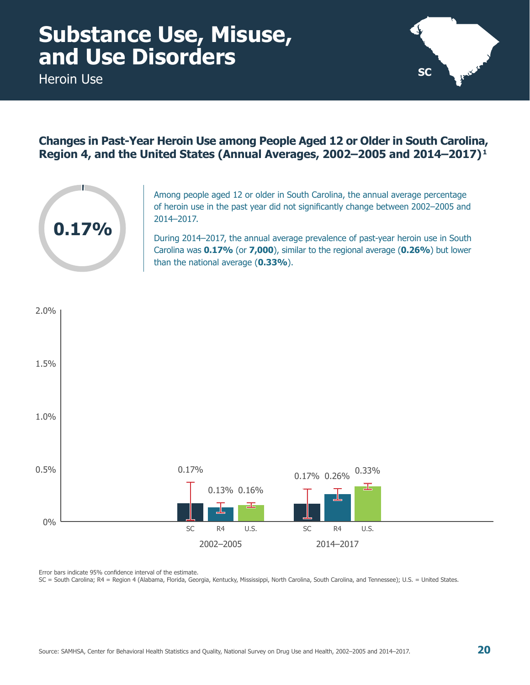<span id="page-25-0"></span>Heroin Use



### **Changes in Past-Year Heroin Use among People Aged 12 or Older in South Carolina, Region 4, and the United States (Annual Averages, 2002–2005 and 2014–2017) 1**



Among people aged 12 or older in South Carolina, the annual average percentage of heroin use in the past year did not significantly change between 2002–2005 and 2014–2017.

During 2014–2017, the annual average prevalence of past-year heroin use in South Carolina was **0.17%** (or **7,000**), similar to the regional average (**0.26%**) but lower than the national average (**0.33%**).

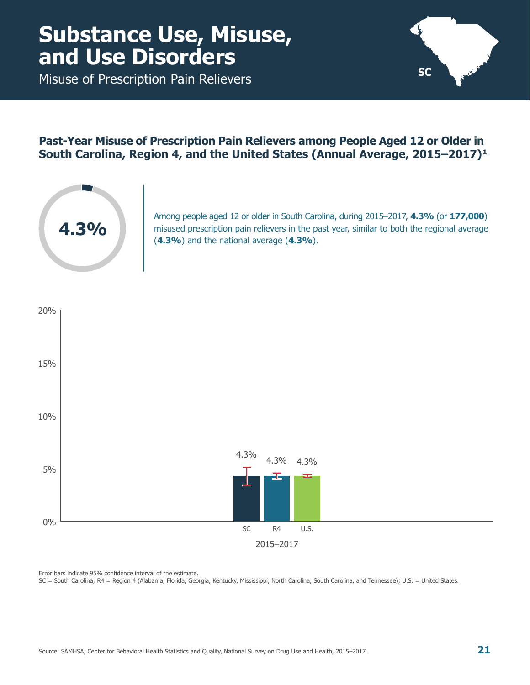<span id="page-26-0"></span>Misuse of Prescription Pain Relievers



#### **Past-Year Misuse of Prescription Pain Relievers among People Aged 12 or Older in South Carolina, Region 4, and the United States (Annual Average, 2015–2017) 1**



Among people aged 12 or older in South Carolina, during 2015–2017, **4.3%** (or **177,000**) misused prescription pain relievers in the past year, similar to both the regional average (**4.3%**) and the national average (**4.3%**).

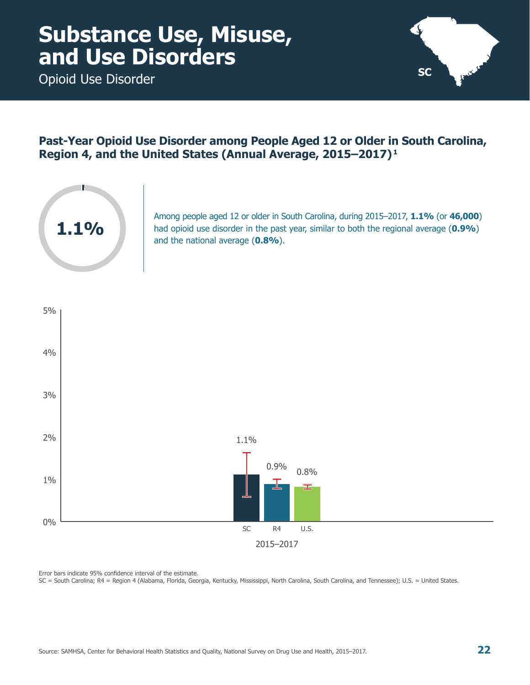<span id="page-27-0"></span>Opioid Use Disorder



### **Past-Year Opioid Use Disorder among People Aged 12 or Older in South Carolina, Region 4, and the United States (Annual Average, 2015–2017) 1**



Among people aged 12 or older in South Carolina, during 2015–2017, **1.1%** (or **46,000**) had opioid use disorder in the past year, similar to both the regional average (**0.9%**) and the national average (**0.8%**).

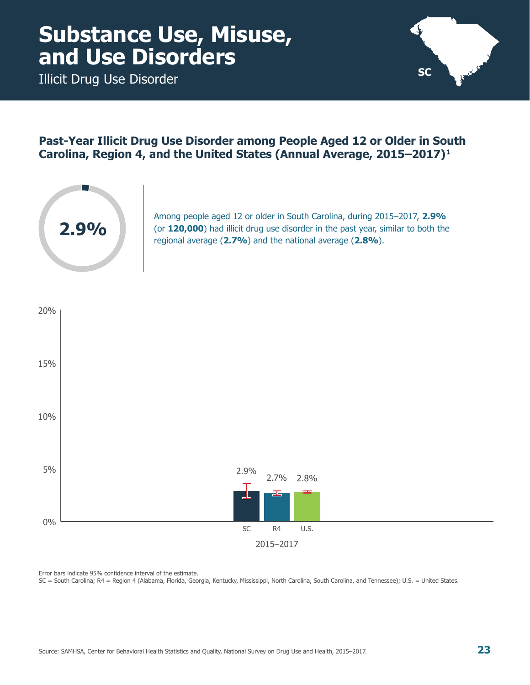<span id="page-28-0"></span>Illicit Drug Use Disorder



#### **Past-Year Illicit Drug Use Disorder among People Aged 12 or Older in South Carolina, Region 4, and the United States (Annual Average, 2015–2017) 1**



Among people aged 12 or older in South Carolina, during 2015–2017, **2.9%** (or **120,000**) had illicit drug use disorder in the past year, similar to both the regional average (**2.7%**) and the national average (**2.8%**).

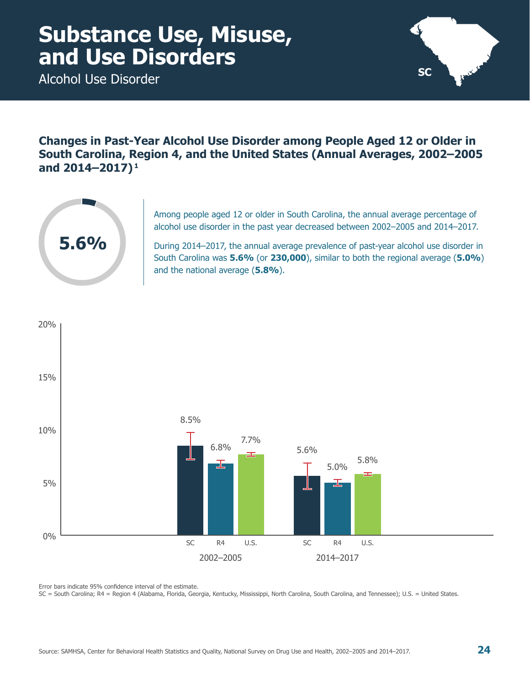<span id="page-29-0"></span>Alcohol Use Disorder



**Changes in Past-Year Alcohol Use Disorder among People Aged 12 or Older in South Carolina, Region 4, and the United States (Annual Averages, 2002–2005 and 2014–2017) 1**



Among people aged 12 or older in South Carolina, the annual average percentage of alcohol use disorder in the past year decreased between 2002–2005 and 2014–2017.

During 2014–2017, the annual average prevalence of past-year alcohol use disorder in South Carolina was **5.6%** (or **230,000**), similar to both the regional average (**5.0%**) and the national average (**5.8%**).



Error bars indicate 95% confidence interval of the estimate.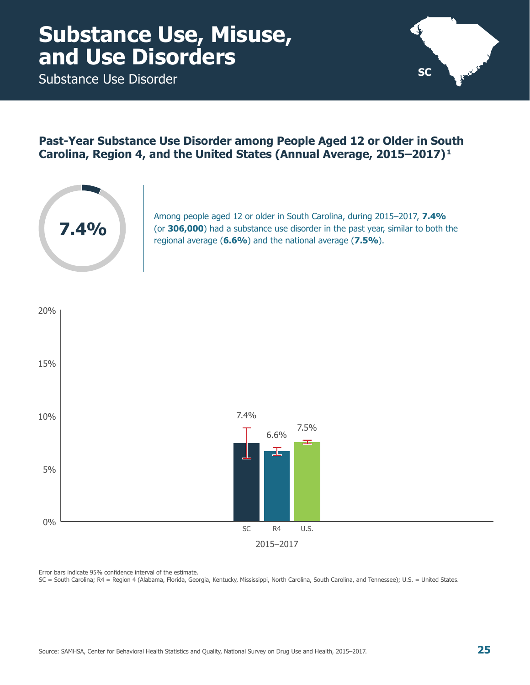<span id="page-30-0"></span>Substance Use Disorder



#### **Past-Year Substance Use Disorder among People Aged 12 or Older in South Carolina, Region 4, and the United States (Annual Average, 2015–2017) 1**



Among people aged 12 or older in South Carolina, during 2015–2017, **7.4%** (or **306,000**) had a substance use disorder in the past year, similar to both the regional average (**6.6%**) and the national average (**7.5%**).

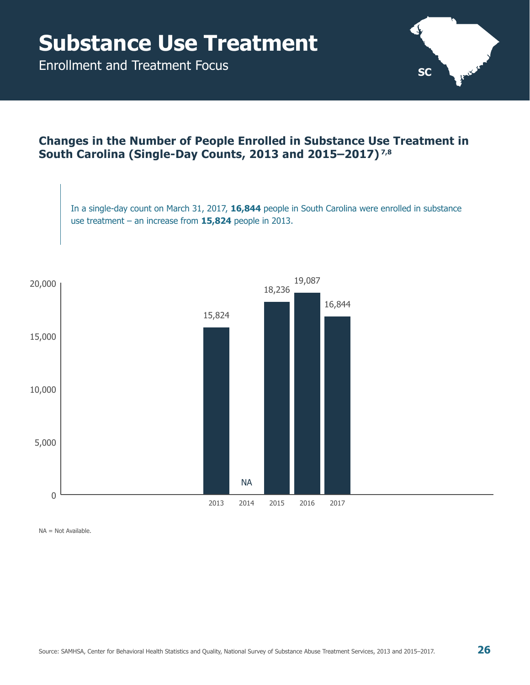<span id="page-31-0"></span>Enrollment and Treatment Focus



### **Changes in the Number of People Enrolled in Substance Use Treatment in South Carolina (Single-Day Counts, 2013 and 2015–2017) 7,8**

In a single-day count on March 31, 2017, **16,844** people in South Carolina were enrolled in substance use treatment – an increase from **15,824** people in 2013.



NA = Not Available.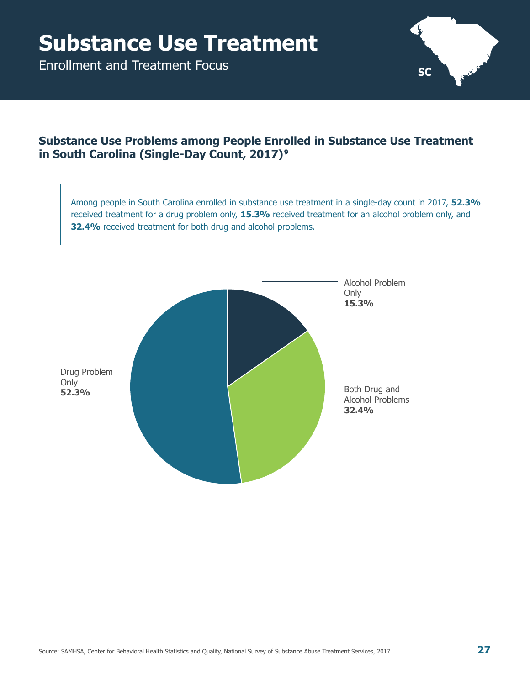Enrollment and Treatment Focus



### **Substance Use Problems among People Enrolled in Substance Use Treatment in South Carolina (Single-Day Count, 2017) 9**

Among people in South Carolina enrolled in substance use treatment in a single-day count in 2017, **52.3%** received treatment for a drug problem only, **15.3%** received treatment for an alcohol problem only, and **32.4%** received treatment for both drug and alcohol problems.

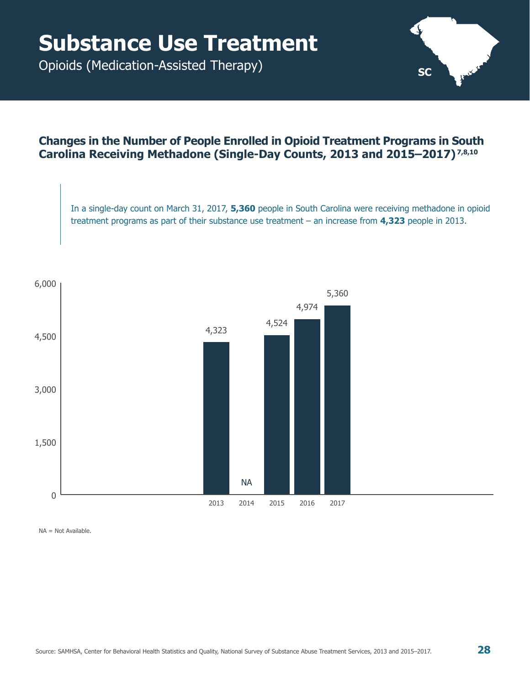<span id="page-33-0"></span>Opioids (Medication-Assisted Therapy)

#### **Changes in the Number of People Enrolled in Opioid Treatment Programs in South Carolina Receiving Methadone (Single-Day Counts, 2013 and 2015–2017) 7,8,10**

In a single-day count on March 31, 2017, **5,360** people in South Carolina were receiving methadone in opioid treatment programs as part of their substance use treatment – an increase from **4,323** people in 2013.

**SC**



NA = Not Available.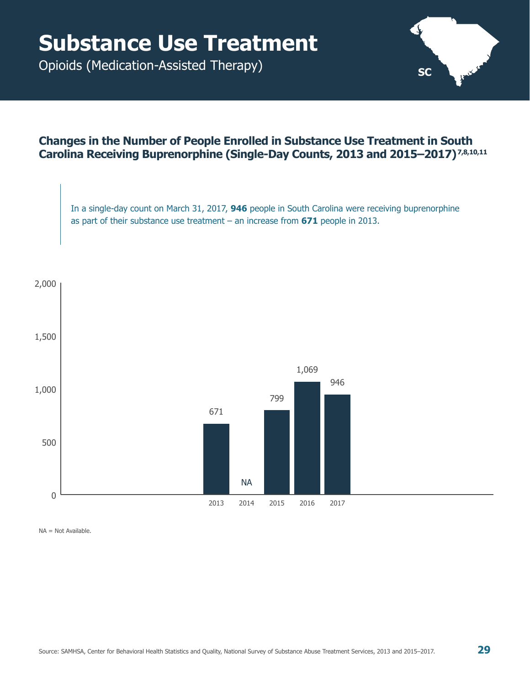Opioids (Medication-Assisted Therapy)

#### **Changes in the Number of People Enrolled in Substance Use Treatment in South Carolina Receiving Buprenorphine (Single-Day Counts, 2013 and 2015–2017) 7,8,10,11**

In a single-day count on March 31, 2017, **946** people in South Carolina were receiving buprenorphine as part of their substance use treatment – an increase from **671** people in 2013.



NA = Not Available.

**SC**

՝ Լ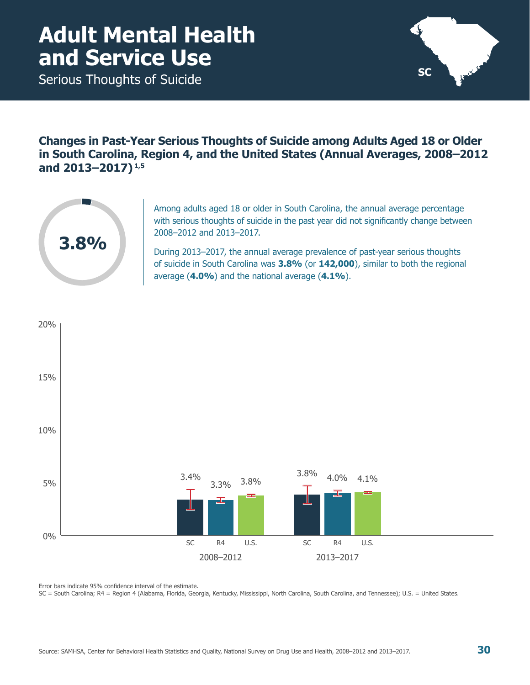### <span id="page-35-0"></span>**Adult Mental Health and Service Use**

Serious Thoughts of Suicide



**Changes in Past-Year Serious Thoughts of Suicide among Adults Aged 18 or Older in South Carolina, Region 4, and the United States (Annual Averages, 2008–2012 and 2013–2017) 1,5**



Among adults aged 18 or older in South Carolina, the annual average percentage with serious thoughts of suicide in the past year did not significantly change between 2008–2012 and 2013–2017.

During 2013–2017, the annual average prevalence of past-year serious thoughts of suicide in South Carolina was **3.8%** (or **142,000**), similar to both the regional average (**4.0%**) and the national average (**4.1%**).



Error bars indicate 95% confidence interval of the estimate.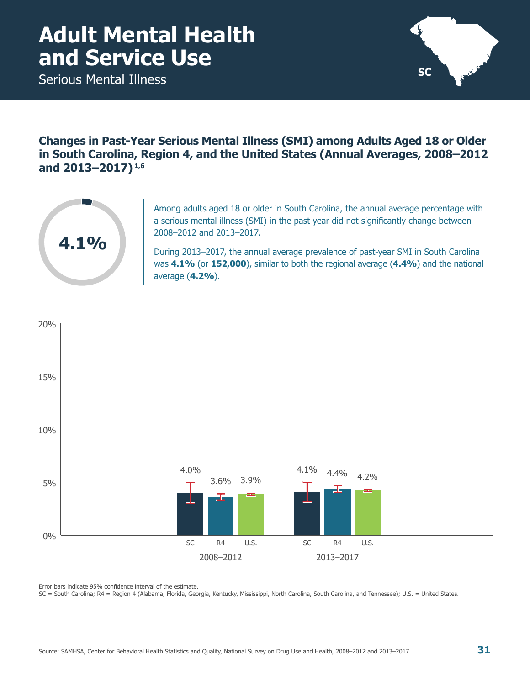### <span id="page-36-0"></span>**Adult Mental Health and Service Use**

Serious Mental Illness



**Changes in Past-Year Serious Mental Illness (SMI) among Adults Aged 18 or Older in South Carolina, Region 4, and the United States (Annual Averages, 2008–2012 and 2013–2017) 1,6**



Among adults aged 18 or older in South Carolina, the annual average percentage with a serious mental illness (SMI) in the past year did not significantly change between 2008–2012 and 2013–2017.

During 2013–2017, the annual average prevalence of past-year SMI in South Carolina was **4.1%** (or **152,000**), similar to both the regional average (**4.4%**) and the national average (**4.2%**).



Error bars indicate 95% confidence interval of the estimate.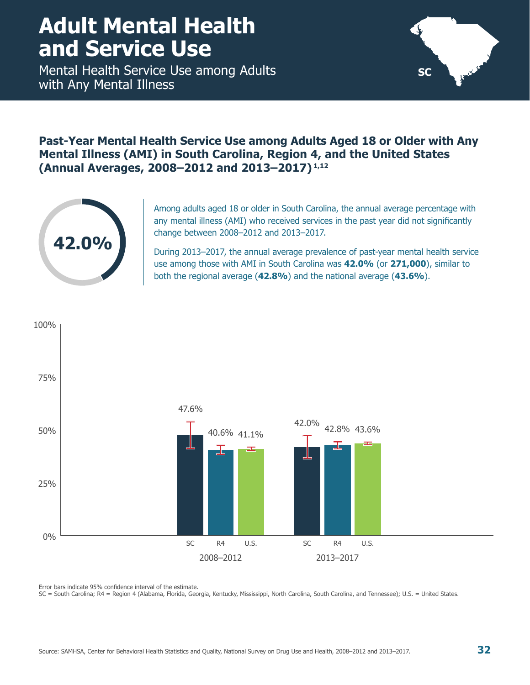### <span id="page-37-0"></span>**Adult Mental Health and Service Use**

Mental Health Service Use among Adults with Any Mental Illness



#### **Past-Year Mental Health Service Use among Adults Aged 18 or Older with Any Mental Illness (AMI) in South Carolina, Region 4, and the United States (Annual Averages, 2008–2012 and 2013–2017) 1,12**



Among adults aged 18 or older in South Carolina, the annual average percentage with any mental illness (AMI) who received services in the past year did not significantly change between 2008–2012 and 2013–2017.

During 2013–2017, the annual average prevalence of past-year mental health service use among those with AMI in South Carolina was **42.0%** (or **271,000**), similar to both the regional average (**42.8%**) and the national average (**43.6%**).



Error bars indicate 95% confidence interval of the estimate.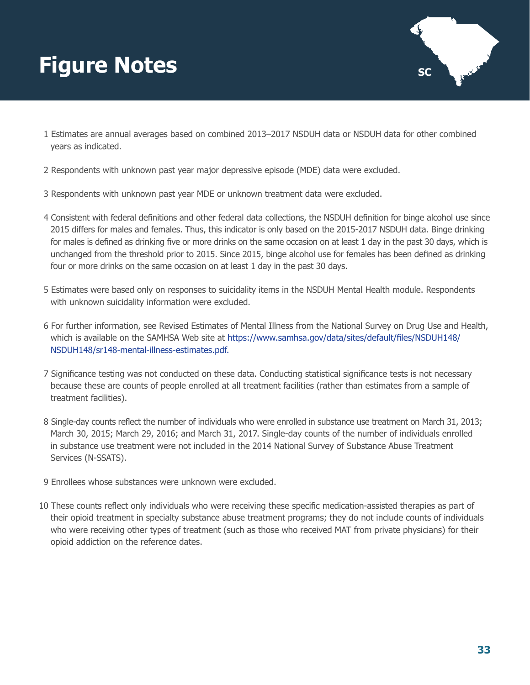# <span id="page-38-0"></span>**Figure Notes SC**



- 1 Estimates are annual averages based on combined 2013–2017 NSDUH data or NSDUH data for other combined years as indicated.
- 2 Respondents with unknown past year major depressive episode (MDE) data were excluded.
- 3 Respondents with unknown past year MDE or unknown treatment data were excluded.
- 4 Consistent with federal definitions and other federal data collections, the NSDUH definition for binge alcohol use since 2015 differs for males and females. Thus, this indicator is only based on the 2015-2017 NSDUH data. Binge drinking for males is defined as drinking five or more drinks on the same occasion on at least 1 day in the past 30 days, which is unchanged from the threshold prior to 2015. Since 2015, binge alcohol use for females has been defined as drinking four or more drinks on the same occasion on at least 1 day in the past 30 days.
- 5 Estimates were based only on responses to suicidality items in the NSDUH Mental Health module. Respondents with unknown suicidality information were excluded.
- 6 For further information, see Revised Estimates of Mental Illness from the National Survey on Drug Use and Health, which is available on the SAMHSA Web site at [https://www.samhsa.gov/data/sites/default/files/NSDUH148/](https://www.samhsa.gov/data/sites/default/files/NSDUH148/NSDUH148/sr148-mental-illness-estimates.pdf) [NSDUH148/sr148-mental-illness-estimates.pdf](https://www.samhsa.gov/data/sites/default/files/NSDUH148/NSDUH148/sr148-mental-illness-estimates.pdf).
- 7 Significance testing was not conducted on these data. Conducting statistical significance tests is not necessary because these are counts of people enrolled at all treatment facilities (rather than estimates from a sample of treatment facilities).
- 8 Single-day counts reflect the number of individuals who were enrolled in substance use treatment on March 31, 2013; March 30, 2015; March 29, 2016; and March 31, 2017. Single-day counts of the number of individuals enrolled in substance use treatment were not included in the 2014 National Survey of Substance Abuse Treatment Services (N-SSATS).
- 9 Enrollees whose substances were unknown were excluded.
- 10 These counts reflect only individuals who were receiving these specific medication-assisted therapies as part of their opioid treatment in specialty substance abuse treatment programs; they do not include counts of individuals who were receiving other types of treatment (such as those who received MAT from private physicians) for their opioid addiction on the reference dates.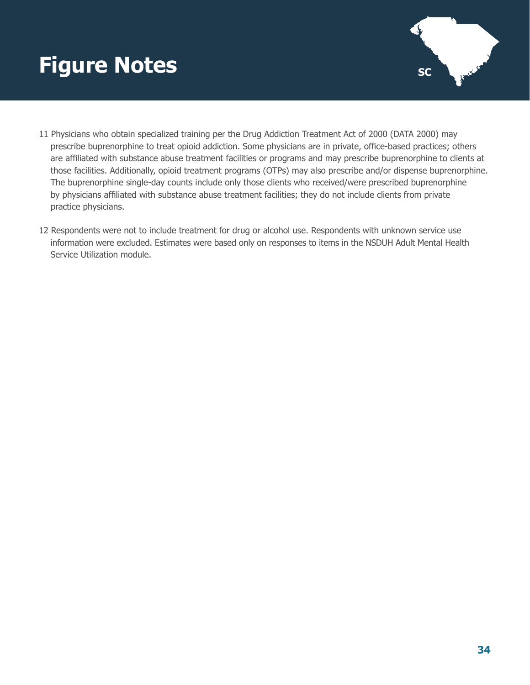# **Figure Notes SC**



- 11 Physicians who obtain specialized training per the Drug Addiction Treatment Act of 2000 (DATA 2000) may prescribe buprenorphine to treat opioid addiction. Some physicians are in private, office-based practices; others are affiliated with substance abuse treatment facilities or programs and may prescribe buprenorphine to clients at those facilities. Additionally, opioid treatment programs (OTPs) may also prescribe and/or dispense buprenorphine. The buprenorphine single-day counts include only those clients who received/were prescribed buprenorphine by physicians affiliated with substance abuse treatment facilities; they do not include clients from private practice physicians.
- 12 Respondents were not to include treatment for drug or alcohol use. Respondents with unknown service use information were excluded. Estimates were based only on responses to items in the NSDUH Adult Mental Health Service Utilization module.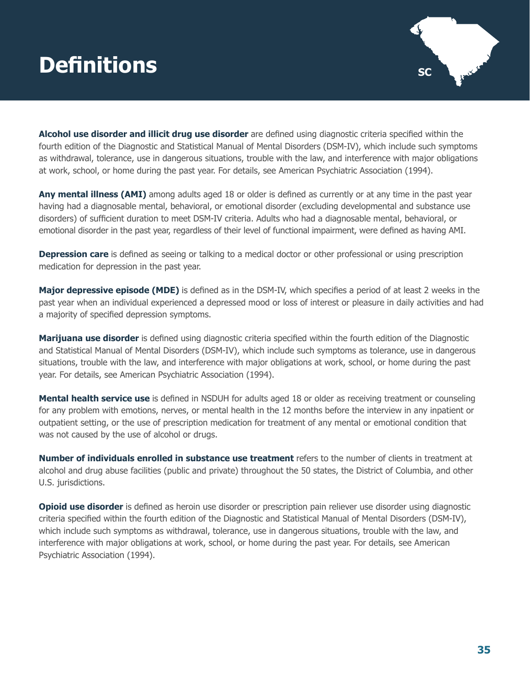# <span id="page-40-0"></span>**Definitions** scale and scale and scale and scale and scale and scale and scale and scale and scale and scale



**Alcohol use disorder and illicit drug use disorder** are defined using diagnostic criteria specified within the fourth edition of the Diagnostic and Statistical Manual of Mental Disorders (DSM-IV), which include such symptoms as withdrawal, tolerance, use in dangerous situations, trouble with the law, and interference with major obligations at work, school, or home during the past year. For details, see American Psychiatric Association (1994).

**Any mental illness (AMI)** among adults aged 18 or older is defined as currently or at any time in the past year having had a diagnosable mental, behavioral, or emotional disorder (excluding developmental and substance use disorders) of sufficient duration to meet DSM-IV criteria. Adults who had a diagnosable mental, behavioral, or emotional disorder in the past year, regardless of their level of functional impairment, were defined as having AMI.

**Depression care** is defined as seeing or talking to a medical doctor or other professional or using prescription medication for depression in the past year.

**Major depressive episode (MDE)** is defined as in the DSM-IV, which specifies a period of at least 2 weeks in the past year when an individual experienced a depressed mood or loss of interest or pleasure in daily activities and had a majority of specified depression symptoms.

**Marijuana use disorder** is defined using diagnostic criteria specified within the fourth edition of the Diagnostic and Statistical Manual of Mental Disorders (DSM-IV), which include such symptoms as tolerance, use in dangerous situations, trouble with the law, and interference with major obligations at work, school, or home during the past year. For details, see American Psychiatric Association (1994).

**Mental health service use** is defined in NSDUH for adults aged 18 or older as receiving treatment or counseling for any problem with emotions, nerves, or mental health in the 12 months before the interview in any inpatient or outpatient setting, or the use of prescription medication for treatment of any mental or emotional condition that was not caused by the use of alcohol or drugs.

**Number of individuals enrolled in substance use treatment** refers to the number of clients in treatment at alcohol and drug abuse facilities (public and private) throughout the 50 states, the District of Columbia, and other U.S. jurisdictions.

**Opioid use disorder** is defined as heroin use disorder or prescription pain reliever use disorder using diagnostic criteria specified within the fourth edition of the Diagnostic and Statistical Manual of Mental Disorders (DSM-IV), which include such symptoms as withdrawal, tolerance, use in dangerous situations, trouble with the law, and interference with major obligations at work, school, or home during the past year. For details, see American Psychiatric Association (1994).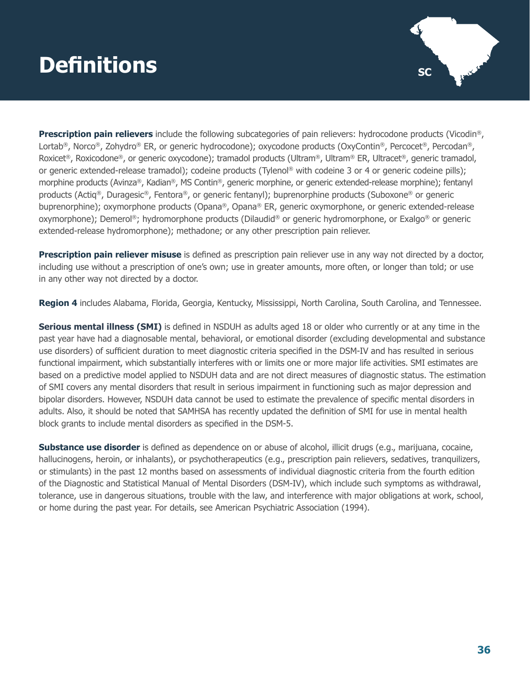# **Definitions** scale and scale and scale and scale and scale and scale and scale and scale and scale and scale



**Prescription pain relievers** include the following subcategories of pain relievers: hydrocodone products (Vicodin®, Lortab®, Norco®, Zohydro® ER, or generic hydrocodone); oxycodone products (OxyContin®, Percocet®, Percodan®, Roxicet®, Roxicodone®, or generic oxycodone); tramadol products (Ultram®, Ultram® ER, Ultracet®, generic tramadol, or generic extended-release tramadol); codeine products (Tylenol® with codeine 3 or 4 or generic codeine pills); morphine products (Avinza®, Kadian®, MS Contin®, generic morphine, or generic extended-release morphine); fentanyl products (Actiq®, Duragesic®, Fentora®, or generic fentanyl); buprenorphine products (Suboxone® or generic buprenorphine); oxymorphone products (Opana®, Opana® ER, generic oxymorphone, or generic extended-release oxymorphone); Demerol®; hydromorphone products (Dilaudid® or generic hydromorphone, or Exalgo® or generic extended-release hydromorphone); methadone; or any other prescription pain reliever.

**Prescription pain reliever misuse** is defined as prescription pain reliever use in any way not directed by a doctor, including use without a prescription of one's own; use in greater amounts, more often, or longer than told; or use in any other way not directed by a doctor.

**Region 4** includes Alabama, Florida, Georgia, Kentucky, Mississippi, North Carolina, South Carolina, and Tennessee.

**Serious mental illness (SMI)** is defined in NSDUH as adults aged 18 or older who currently or at any time in the past year have had a diagnosable mental, behavioral, or emotional disorder (excluding developmental and substance use disorders) of sufficient duration to meet diagnostic criteria specified in the DSM-IV and has resulted in serious functional impairment, which substantially interferes with or limits one or more major life activities. SMI estimates are based on a predictive model applied to NSDUH data and are not direct measures of diagnostic status. The estimation of SMI covers any mental disorders that result in serious impairment in functioning such as major depression and bipolar disorders. However, NSDUH data cannot be used to estimate the prevalence of specific mental disorders in adults. Also, it should be noted that SAMHSA has recently updated the definition of SMI for use in mental health block grants to include mental disorders as specified in the DSM-5.

**Substance use disorder** is defined as dependence on or abuse of alcohol, illicit drugs (e.g., marijuana, cocaine, hallucinogens, heroin, or inhalants), or psychotherapeutics (e.g., prescription pain relievers, sedatives, tranquilizers, or stimulants) in the past 12 months based on assessments of individual diagnostic criteria from the fourth edition of the Diagnostic and Statistical Manual of Mental Disorders (DSM-IV), which include such symptoms as withdrawal, tolerance, use in dangerous situations, trouble with the law, and interference with major obligations at work, school, or home during the past year. For details, see American Psychiatric Association (1994).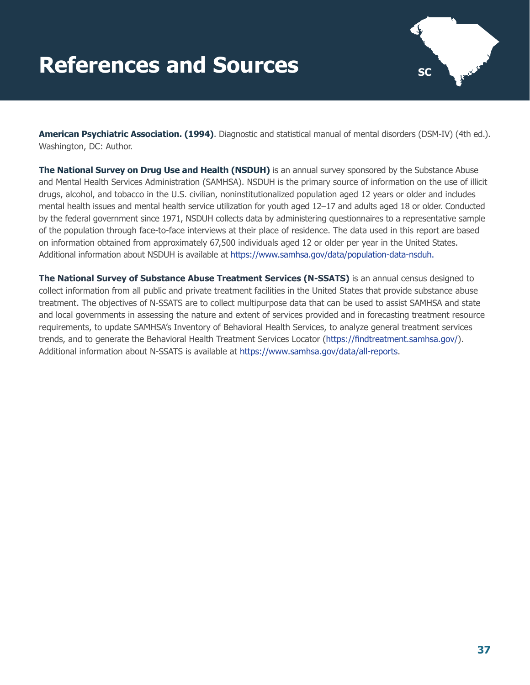# <span id="page-42-0"></span>**References and Sources SC**



**American Psychiatric Association. (1994)**. Diagnostic and statistical manual of mental disorders (DSM-IV) (4th ed.). Washington, DC: Author.

**The National Survey on Drug Use and Health (NSDUH)** is an annual survey sponsored by the Substance Abuse and Mental Health Services Administration (SAMHSA). NSDUH is the primary source of information on the use of illicit drugs, alcohol, and tobacco in the U.S. civilian, noninstitutionalized population aged 12 years or older and includes mental health issues and mental health service utilization for youth aged 12–17 and adults aged 18 or older. Conducted by the federal government since 1971, NSDUH collects data by administering questionnaires to a representative sample of the population through face-to-face interviews at their place of residence. The data used in this report are based on information obtained from approximately 67,500 individuals aged 12 or older per year in the United States. Additional information about NSDUH is available at [https://www.samhsa.gov/data/population-data-nsduh.](https://www.samhsa.gov/data/population-data-nsduh)

**The National Survey of Substance Abuse Treatment Services (N-SSATS)** is an annual census designed to collect information from all public and private treatment facilities in the United States that provide substance abuse treatment. The objectives of N-SSATS are to collect multipurpose data that can be used to assist SAMHSA and state and local governments in assessing the nature and extent of services provided and in forecasting treatment resource requirements, to update SAMHSA's Inventory of Behavioral Health Services, to analyze general treatment services trends, and to generate the Behavioral Health Treatment Services Locator (<https://findtreatment.samhsa.gov/>). Additional information about N-SSATS is available at [https://www.samhsa.gov/data/all-reports.](https://www.samhsa.gov/data/all-reports)